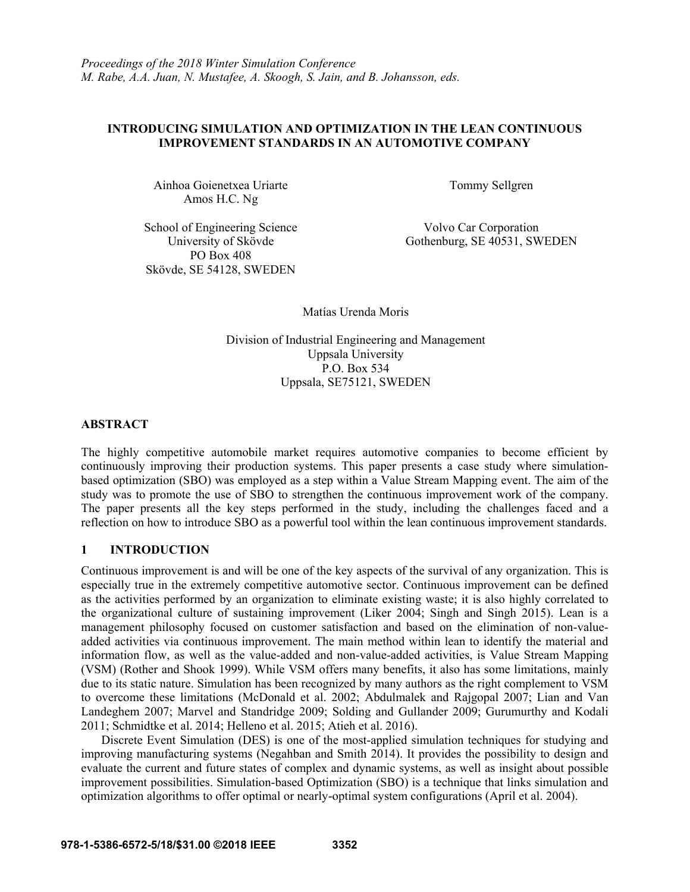# **INTRODUCING SIMULATION AND OPTIMIZATION IN THE LEAN CONTINUOUS IMPROVEMENT STANDARDS IN AN AUTOMOTIVE COMPANY**

Ainhoa Goienetxea Uriarte Tommy Sellgren Amos H.C. Ng

School of Engineering Science Volvo Car Corporation PO Box 408 Skövde, SE 54128, SWEDEN

University of Skövde Gothenburg, SE 40531, SWEDEN

Matías Urenda Moris

Division of Industrial Engineering and Management Uppsala University P.O. Box 534 Uppsala, SE75121, SWEDEN

# **ABSTRACT**

The highly competitive automobile market requires automotive companies to become efficient by continuously improving their production systems. This paper presents a case study where simulationbased optimization (SBO) was employed as a step within a Value Stream Mapping event. The aim of the study was to promote the use of SBO to strengthen the continuous improvement work of the company. The paper presents all the key steps performed in the study, including the challenges faced and a reflection on how to introduce SBO as a powerful tool within the lean continuous improvement standards.

# **1 INTRODUCTION**

Continuous improvement is and will be one of the key aspects of the survival of any organization. This is especially true in the extremely competitive automotive sector. Continuous improvement can be defined as the activities performed by an organization to eliminate existing waste; it is also highly correlated to the organizational culture of sustaining improvement (Liker 2004; Singh and Singh 2015). Lean is a management philosophy focused on customer satisfaction and based on the elimination of non-valueadded activities via continuous improvement. The main method within lean to identify the material and information flow, as well as the value-added and non-value-added activities, is Value Stream Mapping (VSM) (Rother and Shook 1999). While VSM offers many benefits, it also has some limitations, mainly due to its static nature. Simulation has been recognized by many authors as the right complement to VSM to overcome these limitations (McDonald et al. 2002; Abdulmalek and Rajgopal 2007; Lian and Van Landeghem 2007; Marvel and Standridge 2009; Solding and Gullander 2009; Gurumurthy and Kodali 2011; Schmidtke et al. 2014; Helleno et al. 2015; Atieh et al. 2016).

 Discrete Event Simulation (DES) is one of the most-applied simulation techniques for studying and improving manufacturing systems (Negahban and Smith 2014). It provides the possibility to design and evaluate the current and future states of complex and dynamic systems, as well as insight about possible improvement possibilities. Simulation-based Optimization (SBO) is a technique that links simulation and optimization algorithms to offer optimal or nearly-optimal system configurations (April et al. 2004).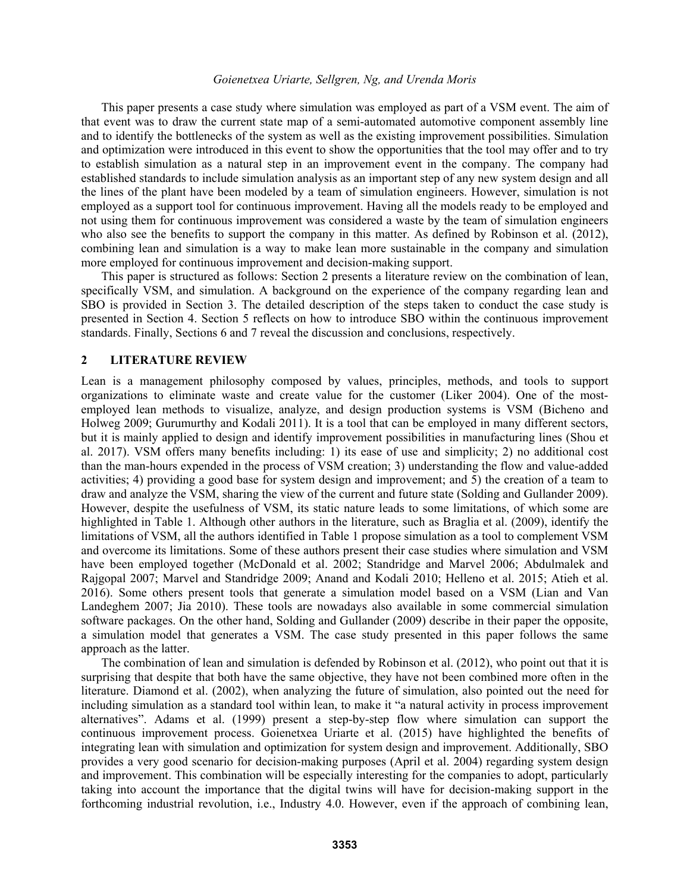This paper presents a case study where simulation was employed as part of a VSM event. The aim of that event was to draw the current state map of a semi-automated automotive component assembly line and to identify the bottlenecks of the system as well as the existing improvement possibilities. Simulation and optimization were introduced in this event to show the opportunities that the tool may offer and to try to establish simulation as a natural step in an improvement event in the company. The company had established standards to include simulation analysis as an important step of any new system design and all the lines of the plant have been modeled by a team of simulation engineers. However, simulation is not employed as a support tool for continuous improvement. Having all the models ready to be employed and not using them for continuous improvement was considered a waste by the team of simulation engineers who also see the benefits to support the company in this matter. As defined by Robinson et al. (2012), combining lean and simulation is a way to make lean more sustainable in the company and simulation more employed for continuous improvement and decision-making support.

This paper is structured as follows: Section 2 presents a literature review on the combination of lean, specifically VSM, and simulation. A background on the experience of the company regarding lean and SBO is provided in Section 3. The detailed description of the steps taken to conduct the case study is presented in Section 4. Section 5 reflects on how to introduce SBO within the continuous improvement standards. Finally, Sections 6 and 7 reveal the discussion and conclusions, respectively.

### **2 LITERATURE REVIEW**

Lean is a management philosophy composed by values, principles, methods, and tools to support organizations to eliminate waste and create value for the customer (Liker 2004). One of the mostemployed lean methods to visualize, analyze, and design production systems is VSM (Bicheno and Holweg 2009; Gurumurthy and Kodali 2011). It is a tool that can be employed in many different sectors, but it is mainly applied to design and identify improvement possibilities in manufacturing lines (Shou et al. 2017). VSM offers many benefits including: 1) its ease of use and simplicity; 2) no additional cost than the man-hours expended in the process of VSM creation; 3) understanding the flow and value-added activities; 4) providing a good base for system design and improvement; and 5) the creation of a team to draw and analyze the VSM, sharing the view of the current and future state (Solding and Gullander 2009). However, despite the usefulness of VSM, its static nature leads to some limitations, of which some are highlighted in Table 1. Although other authors in the literature, such as Braglia et al. (2009), identify the limitations of VSM, all the authors identified in Table 1 propose simulation as a tool to complement VSM and overcome its limitations. Some of these authors present their case studies where simulation and VSM have been employed together (McDonald et al. 2002; Standridge and Marvel 2006; Abdulmalek and Rajgopal 2007; Marvel and Standridge 2009; Anand and Kodali 2010; Helleno et al. 2015; Atieh et al. 2016). Some others present tools that generate a simulation model based on a VSM (Lian and Van Landeghem 2007; Jia 2010). These tools are nowadays also available in some commercial simulation software packages. On the other hand, Solding and Gullander (2009) describe in their paper the opposite, a simulation model that generates a VSM. The case study presented in this paper follows the same approach as the latter.

The combination of lean and simulation is defended by Robinson et al. (2012), who point out that it is surprising that despite that both have the same objective, they have not been combined more often in the literature. Diamond et al. (2002), when analyzing the future of simulation, also pointed out the need for including simulation as a standard tool within lean, to make it "a natural activity in process improvement alternatives". Adams et al. (1999) present a step-by-step flow where simulation can support the continuous improvement process. Goienetxea Uriarte et al. (2015) have highlighted the benefits of integrating lean with simulation and optimization for system design and improvement. Additionally, SBO provides a very good scenario for decision-making purposes (April et al. 2004) regarding system design and improvement. This combination will be especially interesting for the companies to adopt, particularly taking into account the importance that the digital twins will have for decision-making support in the forthcoming industrial revolution, i.e., Industry 4.0. However, even if the approach of combining lean,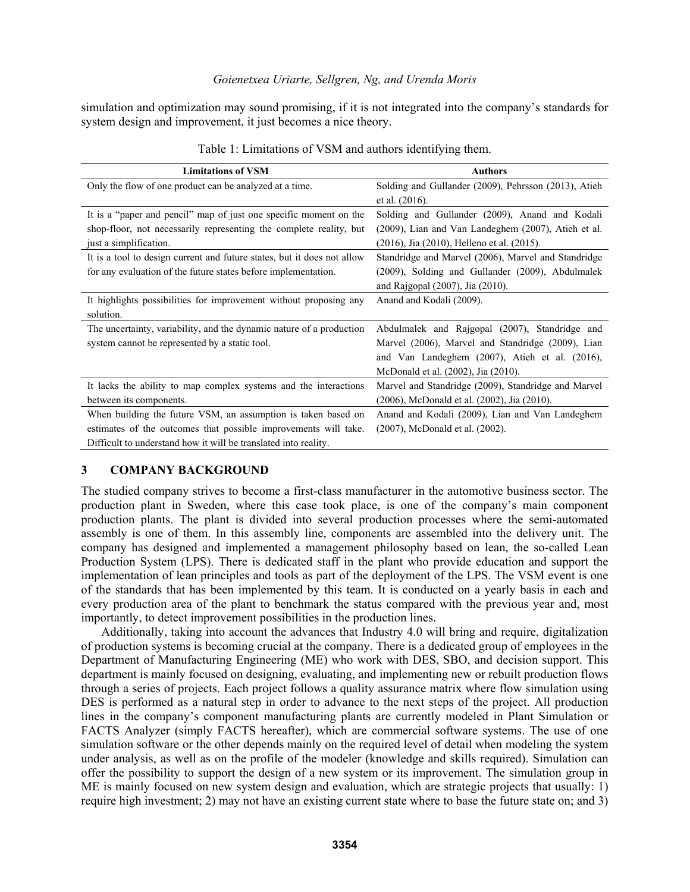simulation and optimization may sound promising, if it is not integrated into the company's standards for system design and improvement, it just becomes a nice theory.

| <b>Limitations of VSM</b>                                               | <b>Authors</b>                                       |
|-------------------------------------------------------------------------|------------------------------------------------------|
| Only the flow of one product can be analyzed at a time.                 | Solding and Gullander (2009), Pehrsson (2013), Atieh |
|                                                                         | et al. (2016).                                       |
| It is a "paper and pencil" map of just one specific moment on the       | Solding and Gullander (2009), Anand and Kodali       |
| shop-floor, not necessarily representing the complete reality, but      | (2009), Lian and Van Landeghem (2007), Atieh et al.  |
| just a simplification.                                                  | (2016), Jia (2010), Helleno et al. (2015).           |
| It is a tool to design current and future states, but it does not allow | Standridge and Marvel (2006), Marvel and Standridge  |
| for any evaluation of the future states before implementation.          | (2009), Solding and Gullander (2009), Abdulmalek     |
|                                                                         | and Rajgopal (2007), Jia (2010).                     |
| It highlights possibilities for improvement without proposing any       | Anand and Kodali (2009).                             |
| solution.                                                               |                                                      |
| The uncertainty, variability, and the dynamic nature of a production    | Abdulmalek and Rajgopal (2007), Standridge and       |
| system cannot be represented by a static tool.                          | Marvel (2006), Marvel and Standridge (2009), Lian    |
|                                                                         | and Van Landeghem (2007), Atieh et al. (2016),       |
|                                                                         | McDonald et al. (2002), Jia (2010).                  |
| It lacks the ability to map complex systems and the interactions        | Marvel and Standridge (2009), Standridge and Marvel  |
| between its components.                                                 | (2006), McDonald et al. (2002), Jia (2010).          |
| When building the future VSM, an assumption is taken based on           | Anand and Kodali (2009), Lian and Van Landeghem      |
| estimates of the outcomes that possible improvements will take.         | (2007), McDonald et al. (2002).                      |
| Difficult to understand how it will be translated into reality.         |                                                      |

## **3 COMPANY BACKGROUND**

The studied company strives to become a first-class manufacturer in the automotive business sector. The production plant in Sweden, where this case took place, is one of the company's main component production plants. The plant is divided into several production processes where the semi-automated assembly is one of them. In this assembly line, components are assembled into the delivery unit. The company has designed and implemented a management philosophy based on lean, the so-called Lean Production System (LPS). There is dedicated staff in the plant who provide education and support the implementation of lean principles and tools as part of the deployment of the LPS. The VSM event is one of the standards that has been implemented by this team. It is conducted on a yearly basis in each and every production area of the plant to benchmark the status compared with the previous year and, most importantly, to detect improvement possibilities in the production lines.

 Additionally, taking into account the advances that Industry 4.0 will bring and require, digitalization of production systems is becoming crucial at the company. There is a dedicated group of employees in the Department of Manufacturing Engineering (ME) who work with DES, SBO, and decision support. This department is mainly focused on designing, evaluating, and implementing new or rebuilt production flows through a series of projects. Each project follows a quality assurance matrix where flow simulation using DES is performed as a natural step in order to advance to the next steps of the project. All production lines in the company's component manufacturing plants are currently modeled in Plant Simulation or FACTS Analyzer (simply FACTS hereafter), which are commercial software systems. The use of one simulation software or the other depends mainly on the required level of detail when modeling the system under analysis, as well as on the profile of the modeler (knowledge and skills required). Simulation can offer the possibility to support the design of a new system or its improvement. The simulation group in ME is mainly focused on new system design and evaluation, which are strategic projects that usually: 1) require high investment; 2) may not have an existing current state where to base the future state on; and 3)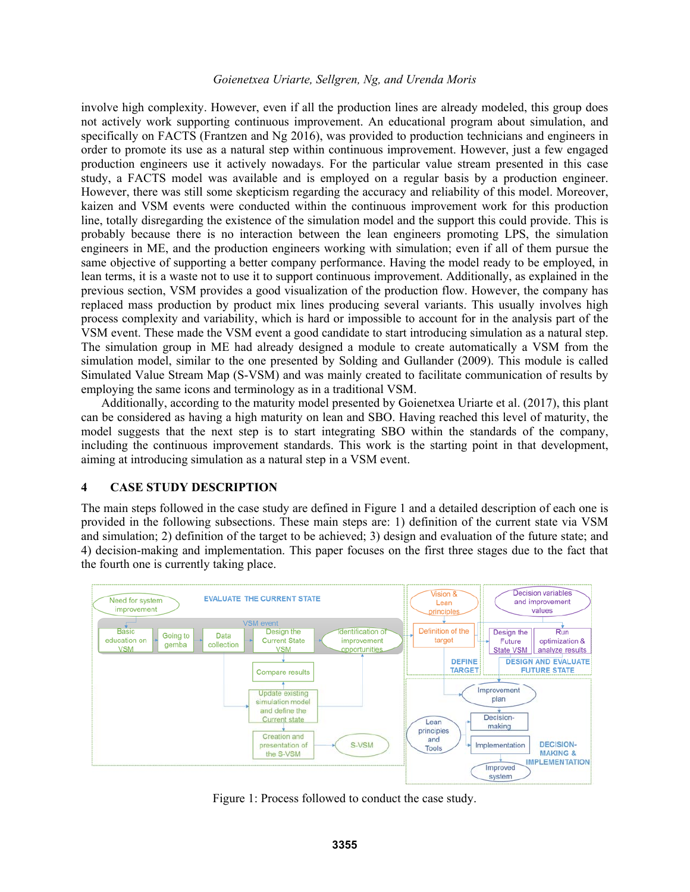involve high complexity. However, even if all the production lines are already modeled, this group does not actively work supporting continuous improvement. An educational program about simulation, and specifically on FACTS (Frantzen and Ng 2016), was provided to production technicians and engineers in order to promote its use as a natural step within continuous improvement. However, just a few engaged production engineers use it actively nowadays. For the particular value stream presented in this case study, a FACTS model was available and is employed on a regular basis by a production engineer. However, there was still some skepticism regarding the accuracy and reliability of this model. Moreover, kaizen and VSM events were conducted within the continuous improvement work for this production line, totally disregarding the existence of the simulation model and the support this could provide. This is probably because there is no interaction between the lean engineers promoting LPS, the simulation engineers in ME, and the production engineers working with simulation; even if all of them pursue the same objective of supporting a better company performance. Having the model ready to be employed, in lean terms, it is a waste not to use it to support continuous improvement. Additionally, as explained in the previous section, VSM provides a good visualization of the production flow. However, the company has replaced mass production by product mix lines producing several variants. This usually involves high process complexity and variability, which is hard or impossible to account for in the analysis part of the VSM event. These made the VSM event a good candidate to start introducing simulation as a natural step. The simulation group in ME had already designed a module to create automatically a VSM from the simulation model, similar to the one presented by Solding and Gullander (2009). This module is called Simulated Value Stream Map (S-VSM) and was mainly created to facilitate communication of results by employing the same icons and terminology as in a traditional VSM.

 Additionally, according to the maturity model presented by Goienetxea Uriarte et al. (2017), this plant can be considered as having a high maturity on lean and SBO. Having reached this level of maturity, the model suggests that the next step is to start integrating SBO within the standards of the company, including the continuous improvement standards. This work is the starting point in that development, aiming at introducing simulation as a natural step in a VSM event.

## **4 CASE STUDY DESCRIPTION**

The main steps followed in the case study are defined in Figure 1 and a detailed description of each one is provided in the following subsections. These main steps are: 1) definition of the current state via VSM and simulation; 2) definition of the target to be achieved; 3) design and evaluation of the future state; and 4) decision-making and implementation. This paper focuses on the first three stages due to the fact that the fourth one is currently taking place.



Figure 1: Process followed to conduct the case study.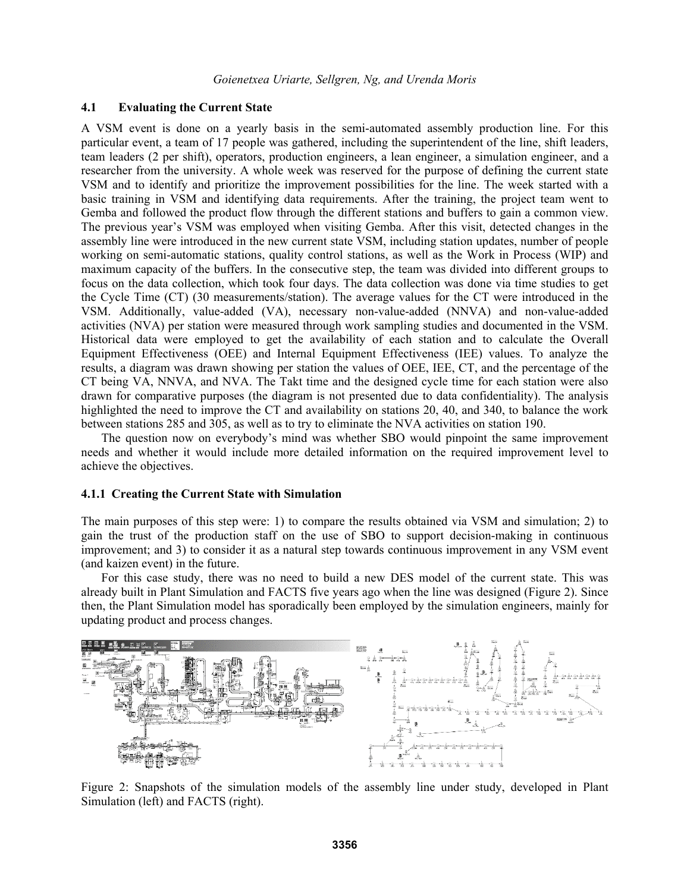### **4.1 Evaluating the Current State**

A VSM event is done on a yearly basis in the semi-automated assembly production line. For this particular event, a team of 17 people was gathered, including the superintendent of the line, shift leaders, team leaders (2 per shift), operators, production engineers, a lean engineer, a simulation engineer, and a researcher from the university. A whole week was reserved for the purpose of defining the current state VSM and to identify and prioritize the improvement possibilities for the line. The week started with a basic training in VSM and identifying data requirements. After the training, the project team went to Gemba and followed the product flow through the different stations and buffers to gain a common view. The previous year's VSM was employed when visiting Gemba. After this visit, detected changes in the assembly line were introduced in the new current state VSM, including station updates, number of people working on semi-automatic stations, quality control stations, as well as the Work in Process (WIP) and maximum capacity of the buffers. In the consecutive step, the team was divided into different groups to focus on the data collection, which took four days. The data collection was done via time studies to get the Cycle Time (CT) (30 measurements/station). The average values for the CT were introduced in the VSM. Additionally, value-added (VA), necessary non-value-added (NNVA) and non-value-added activities (NVA) per station were measured through work sampling studies and documented in the VSM. Historical data were employed to get the availability of each station and to calculate the Overall Equipment Effectiveness (OEE) and Internal Equipment Effectiveness (IEE) values. To analyze the results, a diagram was drawn showing per station the values of OEE, IEE, CT, and the percentage of the CT being VA, NNVA, and NVA. The Takt time and the designed cycle time for each station were also drawn for comparative purposes (the diagram is not presented due to data confidentiality). The analysis highlighted the need to improve the CT and availability on stations 20, 40, and 340, to balance the work between stations 285 and 305, as well as to try to eliminate the NVA activities on station 190.

The question now on everybody's mind was whether SBO would pinpoint the same improvement needs and whether it would include more detailed information on the required improvement level to achieve the objectives.

### **4.1.1 Creating the Current State with Simulation**

The main purposes of this step were: 1) to compare the results obtained via VSM and simulation; 2) to gain the trust of the production staff on the use of SBO to support decision-making in continuous improvement; and 3) to consider it as a natural step towards continuous improvement in any VSM event (and kaizen event) in the future.

 For this case study, there was no need to build a new DES model of the current state. This was already built in Plant Simulation and FACTS five years ago when the line was designed (Figure 2). Since then, the Plant Simulation model has sporadically been employed by the simulation engineers, mainly for updating product and process changes.



Figure 2: Snapshots of the simulation models of the assembly line under study, developed in Plant Simulation (left) and FACTS (right).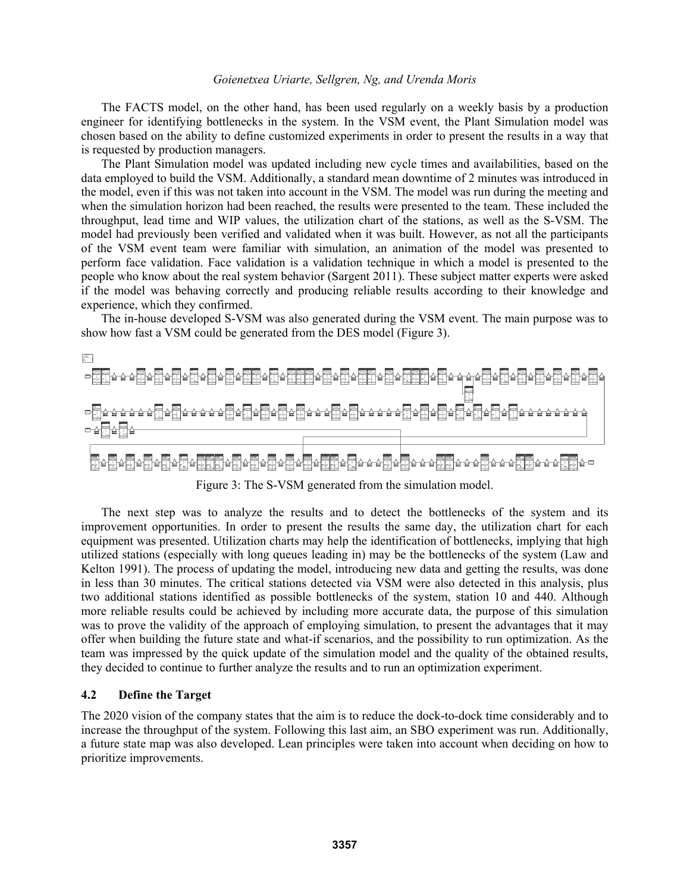The FACTS model, on the other hand, has been used regularly on a weekly basis by a production engineer for identifying bottlenecks in the system. In the VSM event, the Plant Simulation model was chosen based on the ability to define customized experiments in order to present the results in a way that is requested by production managers.

The Plant Simulation model was updated including new cycle times and availabilities, based on the data employed to build the VSM. Additionally, a standard mean downtime of 2 minutes was introduced in the model, even if this was not taken into account in the VSM. The model was run during the meeting and when the simulation horizon had been reached, the results were presented to the team. These included the throughput, lead time and WIP values, the utilization chart of the stations, as well as the S-VSM. The model had previously been verified and validated when it was built. However, as not all the participants of the VSM event team were familiar with simulation, an animation of the model was presented to perform face validation. Face validation is a validation technique in which a model is presented to the people who know about the real system behavior (Sargent 2011). These subject matter experts were asked if the model was behaving correctly and producing reliable results according to their knowledge and experience, which they confirmed.

 The in-house developed S-VSM was also generated during the VSM event. The main purpose was to show how fast a VSM could be generated from the DES model (Figure 3).



Figure 3: The S-VSM generated from the simulation model.

 The next step was to analyze the results and to detect the bottlenecks of the system and its improvement opportunities. In order to present the results the same day, the utilization chart for each equipment was presented. Utilization charts may help the identification of bottlenecks, implying that high utilized stations (especially with long queues leading in) may be the bottlenecks of the system (Law and Kelton 1991). The process of updating the model, introducing new data and getting the results, was done in less than 30 minutes. The critical stations detected via VSM were also detected in this analysis, plus two additional stations identified as possible bottlenecks of the system, station 10 and 440. Although more reliable results could be achieved by including more accurate data, the purpose of this simulation was to prove the validity of the approach of employing simulation, to present the advantages that it may offer when building the future state and what-if scenarios, and the possibility to run optimization. As the team was impressed by the quick update of the simulation model and the quality of the obtained results, they decided to continue to further analyze the results and to run an optimization experiment.

## **4.2 Define the Target**

The 2020 vision of the company states that the aim is to reduce the dock-to-dock time considerably and to increase the throughput of the system. Following this last aim, an SBO experiment was run. Additionally, a future state map was also developed. Lean principles were taken into account when deciding on how to prioritize improvements.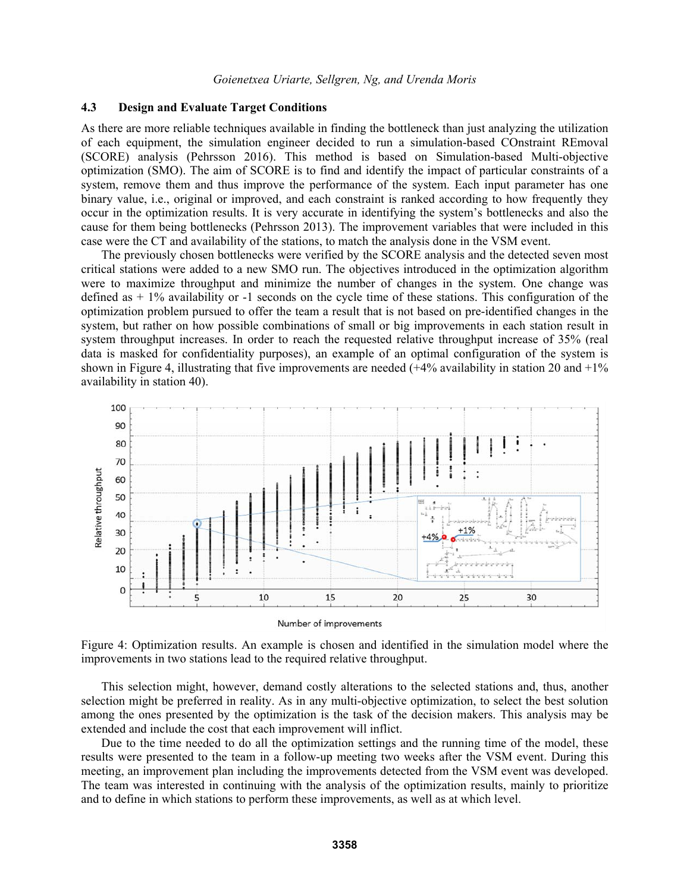## **4.3 Design and Evaluate Target Conditions**

As there are more reliable techniques available in finding the bottleneck than just analyzing the utilization of each equipment, the simulation engineer decided to run a simulation-based COnstraint REmoval (SCORE) analysis (Pehrsson 2016). This method is based on Simulation-based Multi-objective optimization (SMO). The aim of SCORE is to find and identify the impact of particular constraints of a system, remove them and thus improve the performance of the system. Each input parameter has one binary value, i.e., original or improved, and each constraint is ranked according to how frequently they occur in the optimization results. It is very accurate in identifying the system's bottlenecks and also the cause for them being bottlenecks (Pehrsson 2013). The improvement variables that were included in this case were the CT and availability of the stations, to match the analysis done in the VSM event.

 The previously chosen bottlenecks were verified by the SCORE analysis and the detected seven most critical stations were added to a new SMO run. The objectives introduced in the optimization algorithm were to maximize throughput and minimize the number of changes in the system. One change was defined as  $+1\%$  availability or -1 seconds on the cycle time of these stations. This configuration of the optimization problem pursued to offer the team a result that is not based on pre-identified changes in the system, but rather on how possible combinations of small or big improvements in each station result in system throughput increases. In order to reach the requested relative throughput increase of 35% (real data is masked for confidentiality purposes), an example of an optimal configuration of the system is shown in Figure 4, illustrating that five improvements are needed  $(+4\%$  availability in station 20 and  $+1\%$ availability in station 40).



Figure 4: Optimization results. An example is chosen and identified in the simulation model where the improvements in two stations lead to the required relative throughput.

 This selection might, however, demand costly alterations to the selected stations and, thus, another selection might be preferred in reality. As in any multi-objective optimization, to select the best solution among the ones presented by the optimization is the task of the decision makers. This analysis may be extended and include the cost that each improvement will inflict.

 Due to the time needed to do all the optimization settings and the running time of the model, these results were presented to the team in a follow-up meeting two weeks after the VSM event. During this meeting, an improvement plan including the improvements detected from the VSM event was developed. The team was interested in continuing with the analysis of the optimization results, mainly to prioritize and to define in which stations to perform these improvements, as well as at which level.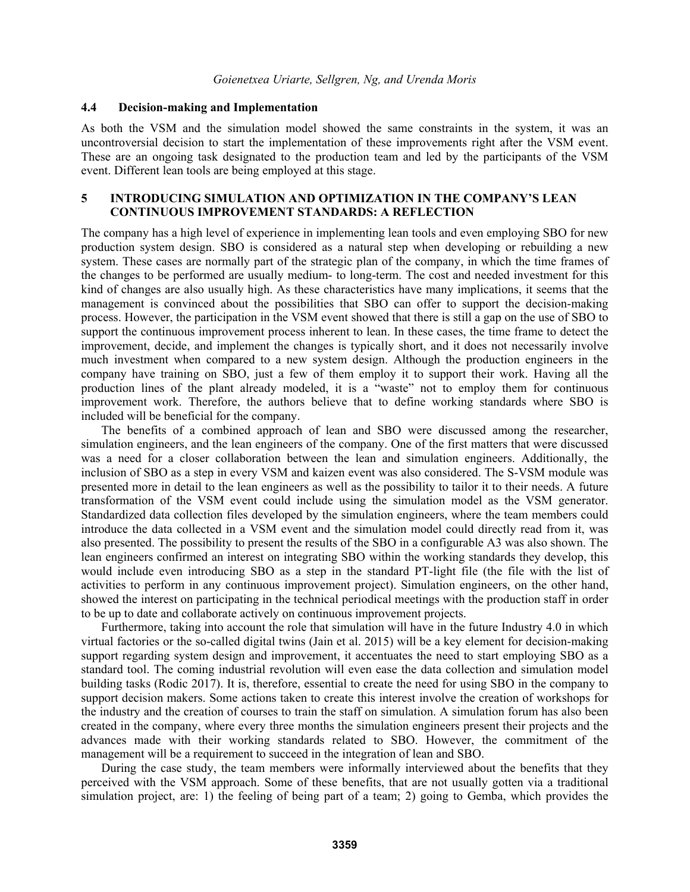#### **4.4 Decision-making and Implementation**

As both the VSM and the simulation model showed the same constraints in the system, it was an uncontroversial decision to start the implementation of these improvements right after the VSM event. These are an ongoing task designated to the production team and led by the participants of the VSM event. Different lean tools are being employed at this stage.

# **5 INTRODUCING SIMULATION AND OPTIMIZATION IN THE COMPANY'S LEAN CONTINUOUS IMPROVEMENT STANDARDS: A REFLECTION**

The company has a high level of experience in implementing lean tools and even employing SBO for new production system design. SBO is considered as a natural step when developing or rebuilding a new system. These cases are normally part of the strategic plan of the company, in which the time frames of the changes to be performed are usually medium- to long-term. The cost and needed investment for this kind of changes are also usually high. As these characteristics have many implications, it seems that the management is convinced about the possibilities that SBO can offer to support the decision-making process. However, the participation in the VSM event showed that there is still a gap on the use of SBO to support the continuous improvement process inherent to lean. In these cases, the time frame to detect the improvement, decide, and implement the changes is typically short, and it does not necessarily involve much investment when compared to a new system design. Although the production engineers in the company have training on SBO, just a few of them employ it to support their work. Having all the production lines of the plant already modeled, it is a "waste" not to employ them for continuous improvement work. Therefore, the authors believe that to define working standards where SBO is included will be beneficial for the company.

 The benefits of a combined approach of lean and SBO were discussed among the researcher, simulation engineers, and the lean engineers of the company. One of the first matters that were discussed was a need for a closer collaboration between the lean and simulation engineers. Additionally, the inclusion of SBO as a step in every VSM and kaizen event was also considered. The S-VSM module was presented more in detail to the lean engineers as well as the possibility to tailor it to their needs. A future transformation of the VSM event could include using the simulation model as the VSM generator. Standardized data collection files developed by the simulation engineers, where the team members could introduce the data collected in a VSM event and the simulation model could directly read from it, was also presented. The possibility to present the results of the SBO in a configurable A3 was also shown. The lean engineers confirmed an interest on integrating SBO within the working standards they develop, this would include even introducing SBO as a step in the standard PT-light file (the file with the list of activities to perform in any continuous improvement project). Simulation engineers, on the other hand, showed the interest on participating in the technical periodical meetings with the production staff in order to be up to date and collaborate actively on continuous improvement projects.

 Furthermore, taking into account the role that simulation will have in the future Industry 4.0 in which virtual factories or the so-called digital twins (Jain et al. 2015) will be a key element for decision-making support regarding system design and improvement, it accentuates the need to start employing SBO as a standard tool. The coming industrial revolution will even ease the data collection and simulation model building tasks (Rodic 2017). It is, therefore, essential to create the need for using SBO in the company to support decision makers. Some actions taken to create this interest involve the creation of workshops for the industry and the creation of courses to train the staff on simulation. A simulation forum has also been created in the company, where every three months the simulation engineers present their projects and the advances made with their working standards related to SBO. However, the commitment of the management will be a requirement to succeed in the integration of lean and SBO.

 During the case study, the team members were informally interviewed about the benefits that they perceived with the VSM approach. Some of these benefits, that are not usually gotten via a traditional simulation project, are: 1) the feeling of being part of a team; 2) going to Gemba, which provides the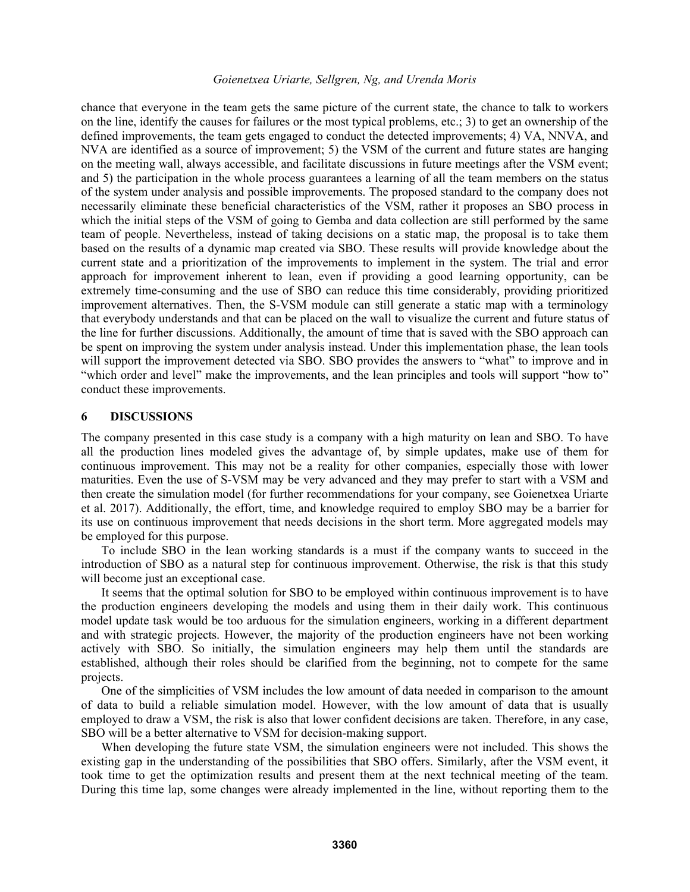chance that everyone in the team gets the same picture of the current state, the chance to talk to workers on the line, identify the causes for failures or the most typical problems, etc.; 3) to get an ownership of the defined improvements, the team gets engaged to conduct the detected improvements; 4) VA, NNVA, and NVA are identified as a source of improvement; 5) the VSM of the current and future states are hanging on the meeting wall, always accessible, and facilitate discussions in future meetings after the VSM event; and 5) the participation in the whole process guarantees a learning of all the team members on the status of the system under analysis and possible improvements. The proposed standard to the company does not necessarily eliminate these beneficial characteristics of the VSM, rather it proposes an SBO process in which the initial steps of the VSM of going to Gemba and data collection are still performed by the same team of people. Nevertheless, instead of taking decisions on a static map, the proposal is to take them based on the results of a dynamic map created via SBO. These results will provide knowledge about the current state and a prioritization of the improvements to implement in the system. The trial and error approach for improvement inherent to lean, even if providing a good learning opportunity, can be extremely time-consuming and the use of SBO can reduce this time considerably, providing prioritized improvement alternatives. Then, the S-VSM module can still generate a static map with a terminology that everybody understands and that can be placed on the wall to visualize the current and future status of the line for further discussions. Additionally, the amount of time that is saved with the SBO approach can be spent on improving the system under analysis instead. Under this implementation phase, the lean tools will support the improvement detected via SBO. SBO provides the answers to "what" to improve and in "which order and level" make the improvements, and the lean principles and tools will support "how to" conduct these improvements.

### **6 DISCUSSIONS**

The company presented in this case study is a company with a high maturity on lean and SBO. To have all the production lines modeled gives the advantage of, by simple updates, make use of them for continuous improvement. This may not be a reality for other companies, especially those with lower maturities. Even the use of S-VSM may be very advanced and they may prefer to start with a VSM and then create the simulation model (for further recommendations for your company, see Goienetxea Uriarte et al. 2017). Additionally, the effort, time, and knowledge required to employ SBO may be a barrier for its use on continuous improvement that needs decisions in the short term. More aggregated models may be employed for this purpose.

To include SBO in the lean working standards is a must if the company wants to succeed in the introduction of SBO as a natural step for continuous improvement. Otherwise, the risk is that this study will become just an exceptional case.

It seems that the optimal solution for SBO to be employed within continuous improvement is to have the production engineers developing the models and using them in their daily work. This continuous model update task would be too arduous for the simulation engineers, working in a different department and with strategic projects. However, the majority of the production engineers have not been working actively with SBO. So initially, the simulation engineers may help them until the standards are established, although their roles should be clarified from the beginning, not to compete for the same projects.

One of the simplicities of VSM includes the low amount of data needed in comparison to the amount of data to build a reliable simulation model. However, with the low amount of data that is usually employed to draw a VSM, the risk is also that lower confident decisions are taken. Therefore, in any case, SBO will be a better alternative to VSM for decision-making support.

When developing the future state VSM, the simulation engineers were not included. This shows the existing gap in the understanding of the possibilities that SBO offers. Similarly, after the VSM event, it took time to get the optimization results and present them at the next technical meeting of the team. During this time lap, some changes were already implemented in the line, without reporting them to the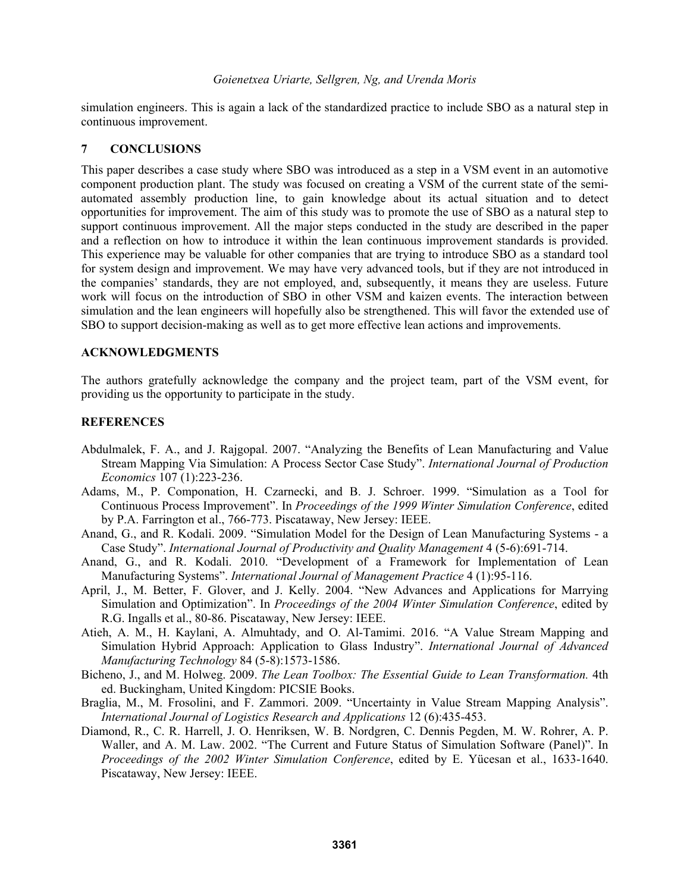simulation engineers. This is again a lack of the standardized practice to include SBO as a natural step in continuous improvement.

## **7 CONCLUSIONS**

This paper describes a case study where SBO was introduced as a step in a VSM event in an automotive component production plant. The study was focused on creating a VSM of the current state of the semiautomated assembly production line, to gain knowledge about its actual situation and to detect opportunities for improvement. The aim of this study was to promote the use of SBO as a natural step to support continuous improvement. All the major steps conducted in the study are described in the paper and a reflection on how to introduce it within the lean continuous improvement standards is provided. This experience may be valuable for other companies that are trying to introduce SBO as a standard tool for system design and improvement. We may have very advanced tools, but if they are not introduced in the companies' standards, they are not employed, and, subsequently, it means they are useless. Future work will focus on the introduction of SBO in other VSM and kaizen events. The interaction between simulation and the lean engineers will hopefully also be strengthened. This will favor the extended use of SBO to support decision-making as well as to get more effective lean actions and improvements.

## **ACKNOWLEDGMENTS**

The authors gratefully acknowledge the company and the project team, part of the VSM event, for providing us the opportunity to participate in the study.

# **REFERENCES**

- Abdulmalek, F. A., and J. Rajgopal. 2007. "Analyzing the Benefits of Lean Manufacturing and Value Stream Mapping Via Simulation: A Process Sector Case Study". *International Journal of Production Economics* 107 (1):223-236.
- Adams, M., P. Componation, H. Czarnecki, and B. J. Schroer. 1999. "Simulation as a Tool for Continuous Process Improvement". In *Proceedings of the 1999 Winter Simulation Conference*, edited by P.A. Farrington et al., 766-773. Piscataway, New Jersey: IEEE.
- Anand, G., and R. Kodali. 2009. "Simulation Model for the Design of Lean Manufacturing Systems a Case Study". *International Journal of Productivity and Quality Management* 4 (5-6):691-714.
- Anand, G., and R. Kodali. 2010. "Development of a Framework for Implementation of Lean Manufacturing Systems". *International Journal of Management Practice* 4 (1):95-116.
- April, J., M. Better, F. Glover, and J. Kelly. 2004. "New Advances and Applications for Marrying Simulation and Optimization". In *Proceedings of the 2004 Winter Simulation Conference*, edited by R.G. Ingalls et al., 80-86. Piscataway, New Jersey: IEEE.
- Atieh, A. M., H. Kaylani, A. Almuhtady, and O. Al-Tamimi. 2016. "A Value Stream Mapping and Simulation Hybrid Approach: Application to Glass Industry". *International Journal of Advanced Manufacturing Technology* 84 (5-8):1573-1586.
- Bicheno, J., and M. Holweg. 2009. *The Lean Toolbox: The Essential Guide to Lean Transformation.* 4th ed. Buckingham, United Kingdom: PICSIE Books.
- Braglia, M., M. Frosolini, and F. Zammori. 2009. "Uncertainty in Value Stream Mapping Analysis". *International Journal of Logistics Research and Applications* 12 (6):435-453.
- Diamond, R., C. R. Harrell, J. O. Henriksen, W. B. Nordgren, C. Dennis Pegden, M. W. Rohrer, A. P. Waller, and A. M. Law. 2002. "The Current and Future Status of Simulation Software (Panel)". In *Proceedings of the 2002 Winter Simulation Conference*, edited by E. Yücesan et al., 1633-1640. Piscataway, New Jersey: IEEE.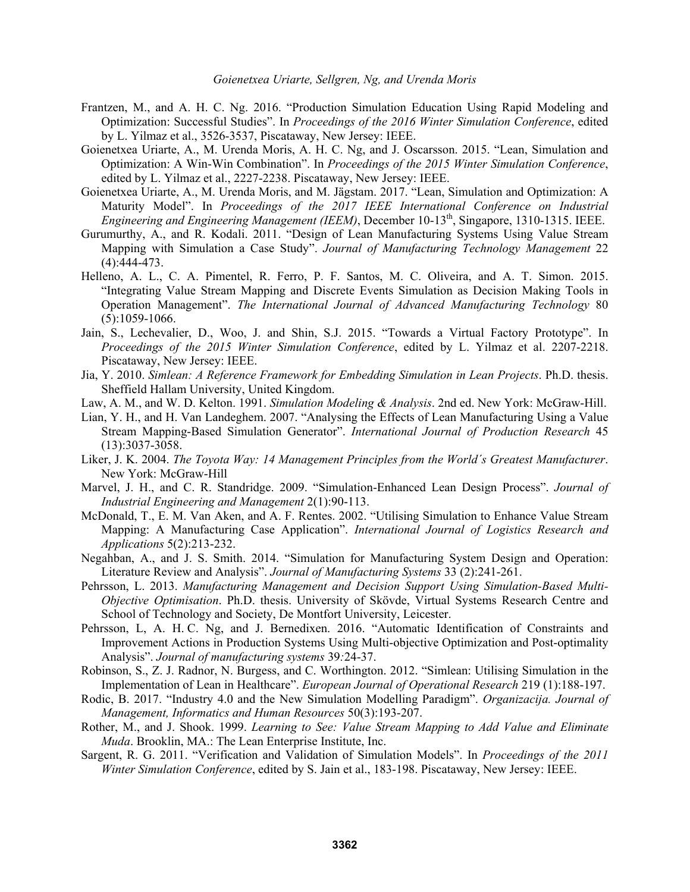- Frantzen, M., and A. H. C. Ng. 2016. "Production Simulation Education Using Rapid Modeling and Optimization: Successful Studies". In *Proceedings of the 2016 Winter Simulation Conference*, edited by L. Yilmaz et al., 3526-3537, Piscataway, New Jersey: IEEE.
- Goienetxea Uriarte, A., M. Urenda Moris, A. H. C. Ng, and J. Oscarsson. 2015. "Lean, Simulation and Optimization: A Win-Win Combination". In *Proceedings of the 2015 Winter Simulation Conference*, edited by L. Yilmaz et al., 2227-2238. Piscataway, New Jersey: IEEE.
- Goienetxea Uriarte, A., M. Urenda Moris, and M. Jägstam. 2017. "Lean, Simulation and Optimization: A Maturity Model". In *Proceedings of the 2017 IEEE International Conference on Industrial Engineering and Engineering Management (IEEM)*, December 10-13th, Singapore, 1310-1315. IEEE.
- Gurumurthy, A., and R. Kodali. 2011. "Design of Lean Manufacturing Systems Using Value Stream Mapping with Simulation a Case Study". *Journal of Manufacturing Technology Management* 22 (4):444-473.
- Helleno, A. L., C. A. Pimentel, R. Ferro, P. F. Santos, M. C. Oliveira, and A. T. Simon. 2015. "Integrating Value Stream Mapping and Discrete Events Simulation as Decision Making Tools in Operation Management". *The International Journal of Advanced Manufacturing Technology* 80  $(5):1059-1066.$
- Jain, S., Lechevalier, D., Woo, J. and Shin, S.J. 2015. "Towards a Virtual Factory Prototype". In *Proceedings of the 2015 Winter Simulation Conference*, edited by L. Yilmaz et al. 2207-2218. Piscataway, New Jersey: IEEE.
- Jia, Y. 2010. *Simlean: A Reference Framework for Embedding Simulation in Lean Projects*. Ph.D. thesis. Sheffield Hallam University, United Kingdom.
- Law, A. M., and W. D. Kelton. 1991. *Simulation Modeling & Analysis*. 2nd ed. New York: McGraw-Hill.
- Lian, Y. H., and H. Van Landeghem. 2007. "Analysing the Effects of Lean Manufacturing Using a Value Stream Mapping-Based Simulation Generator". *International Journal of Production Research* 45 (13):3037-3058.
- Liker, J. K. 2004. *The Toyota Way: 14 Management Principles from the World´s Greatest Manufacturer*. New York: McGraw-Hill
- Marvel, J. H., and C. R. Standridge. 2009. "Simulation-Enhanced Lean Design Process". *Journal of Industrial Engineering and Management* 2(1):90-113.
- McDonald, T., E. M. Van Aken, and A. F. Rentes. 2002. "Utilising Simulation to Enhance Value Stream Mapping: A Manufacturing Case Application". *International Journal of Logistics Research and Applications* 5(2):213-232.
- Negahban, A., and J. S. Smith. 2014. "Simulation for Manufacturing System Design and Operation: Literature Review and Analysis". *Journal of Manufacturing Systems* 33 (2):241-261.
- Pehrsson, L. 2013. *Manufacturing Management and Decision Support Using Simulation-Based Multi-Objective Optimisation*. Ph.D. thesis. University of Skövde, Virtual Systems Research Centre and School of Technology and Society, De Montfort University, Leicester.
- Pehrsson, L, A. H. C. Ng, and J. Bernedixen. 2016. "Automatic Identification of Constraints and Improvement Actions in Production Systems Using Multi-objective Optimization and Post-optimality Analysis". *Journal of manufacturing systems* 39*:*24-37.
- Robinson, S., Z. J. Radnor, N. Burgess, and C. Worthington. 2012. "Simlean: Utilising Simulation in the Implementation of Lean in Healthcare". *European Journal of Operational Research* 219 (1):188-197.
- Rodic, B. 2017. "Industry 4.0 and the New Simulation Modelling Paradigm". *Organizacija. Journal of Management, Informatics and Human Resources* 50(3):193-207.
- Rother, M., and J. Shook. 1999. *Learning to See: Value Stream Mapping to Add Value and Eliminate Muda*. Brooklin, MA.: The Lean Enterprise Institute, Inc.
- Sargent, R. G. 2011. "Verification and Validation of Simulation Models". In *Proceedings of the 2011 Winter Simulation Conference*, edited by S. Jain et al., 183-198. Piscataway, New Jersey: IEEE.